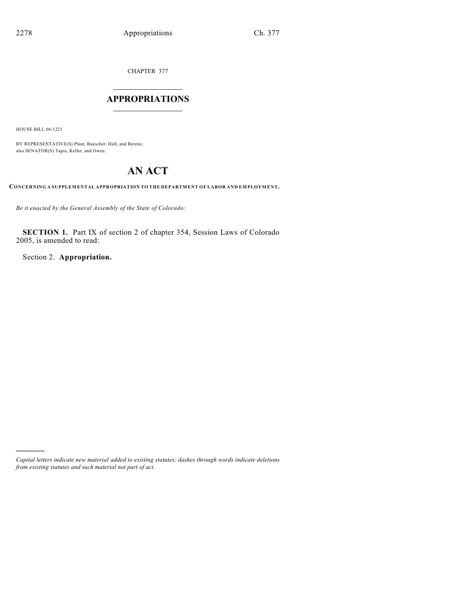CHAPTER 377

# $\overline{\phantom{a}}$  . The set of the set of the set of the set of the set of the set of the set of the set of the set of the set of the set of the set of the set of the set of the set of the set of the set of the set of the set o **APPROPRIATIONS**  $\_$   $\_$   $\_$   $\_$   $\_$   $\_$   $\_$   $\_$

HOUSE BILL 06-1221

)))))

BY REPRESENTATIVE(S) Plant, Buescher, Hall, and Berens; also SENATOR(S) Tapia, Keller, and Owen.

# **AN ACT**

**CONCERNING A SUPPLEMENTAL APPROPRIATION TO THE DEPARTMENT OF LABOR AND EMPLOYMENT.**

*Be it enacted by the General Assembly of the State of Colorado:*

**SECTION 1.** Part IX of section 2 of chapter 354, Session Laws of Colorado 2005, is amended to read:

Section 2. **Appropriation.**

*Capital letters indicate new material added to existing statutes; dashes through words indicate deletions from existing statutes and such material not part of act.*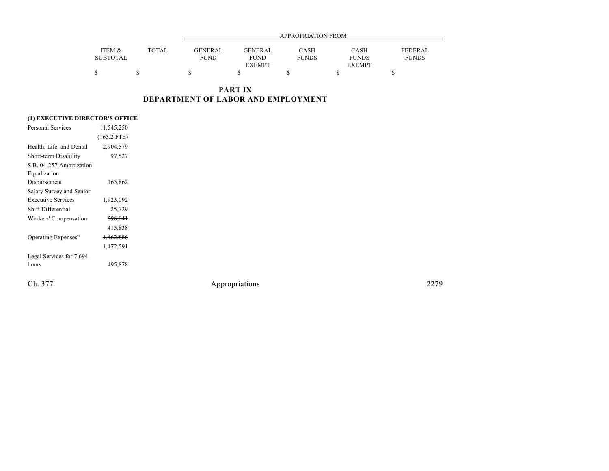|                 |              | APPROPRIATION FROM |                |              |               |                |  |  |
|-----------------|--------------|--------------------|----------------|--------------|---------------|----------------|--|--|
| ITEM &          | <b>TOTAL</b> | GENERAL            | <b>GENERAL</b> |              |               | <b>FEDERAL</b> |  |  |
|                 |              |                    |                | CASH         | CASH          |                |  |  |
| <b>SUBTOTAL</b> |              | <b>FUND</b>        | <b>FUND</b>    | <b>FUNDS</b> | <b>FUNDS</b>  | <b>FUNDS</b>   |  |  |
|                 |              |                    | <b>EXEMPT</b>  |              | <b>EXEMPT</b> |                |  |  |
|                 |              |                    |                |              |               |                |  |  |

**PART IX DEPARTMENT OF LABOR AND EMPLOYMENT**

## **(1) EXECUTIVE DIRECTOR'S OFFICE**

| <b>Personal Services</b>         | 11,545,250           |  |
|----------------------------------|----------------------|--|
|                                  | $(165.2$ FTE)        |  |
| Health, Life, and Dental         | 2,904,579            |  |
| Short-term Disability            | 97,527               |  |
| S.B. 04-257 Amortization         |                      |  |
| Equalization                     |                      |  |
| Disbursement                     | 165,862              |  |
| Salary Survey and Senior         |                      |  |
| <b>Executive Services</b>        | 1,923,092            |  |
| Shift Differential               | 25,729               |  |
| Workers' Compensation            | 596,041              |  |
|                                  | 415,838              |  |
| Operating Expenses <sup>95</sup> | <del>1,462,886</del> |  |
|                                  | 1,472,591            |  |
| Legal Services for 7,694         |                      |  |
| hours                            | 495,878              |  |
|                                  |                      |  |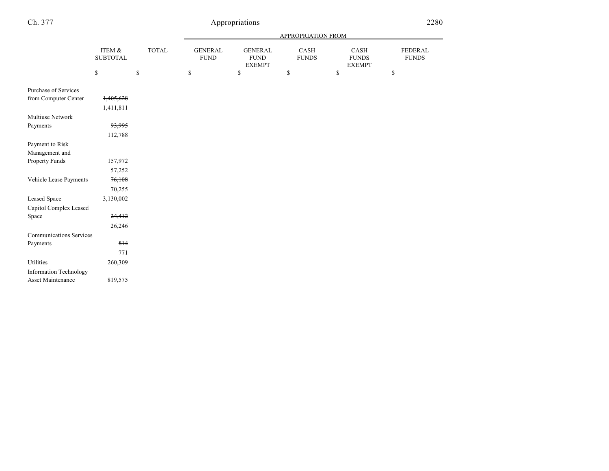| Ch. 377 |            | Appropriations |              |          |                           |           |          |
|---------|------------|----------------|--------------|----------|---------------------------|-----------|----------|
|         |            |                |              |          | <b>APPROPRIATION FROM</b> |           |          |
|         | $TTTNA$ 0. | <b>TOTAL</b>   | $C$ ENIED AT | CENTDDAT | $C$ A CII                 | $C$ A CII | EEDED AT |

|                                | ITEM &<br><b>SUBTOTAL</b> | <b>TOTAL</b> | <b>GENERAL</b><br><b>FUND</b> | <b>GENERAL</b><br><b>FUND</b><br><b>EXEMPT</b> | CASH<br><b>FUNDS</b> | CASH<br><b>FUNDS</b><br><b>EXEMPT</b> | <b>FEDERAL</b><br><b>FUNDS</b> |
|--------------------------------|---------------------------|--------------|-------------------------------|------------------------------------------------|----------------------|---------------------------------------|--------------------------------|
|                                | \$                        | \$           | \$                            | \$                                             | \$                   | \$                                    | \$                             |
| Purchase of Services           |                           |              |                               |                                                |                      |                                       |                                |
| from Computer Center           | 1,405,628                 |              |                               |                                                |                      |                                       |                                |
|                                | 1,411,811                 |              |                               |                                                |                      |                                       |                                |
| Multiuse Network               |                           |              |                               |                                                |                      |                                       |                                |
| Payments                       | 93,995                    |              |                               |                                                |                      |                                       |                                |
|                                | 112,788                   |              |                               |                                                |                      |                                       |                                |
| Payment to Risk                |                           |              |                               |                                                |                      |                                       |                                |
| Management and                 |                           |              |                               |                                                |                      |                                       |                                |
| Property Funds                 | 157,972                   |              |                               |                                                |                      |                                       |                                |
|                                | 57,252                    |              |                               |                                                |                      |                                       |                                |
| Vehicle Lease Payments         | 76,108                    |              |                               |                                                |                      |                                       |                                |
|                                | 70,255                    |              |                               |                                                |                      |                                       |                                |
| <b>Leased Space</b>            | 3,130,002                 |              |                               |                                                |                      |                                       |                                |
| Capitol Complex Leased         |                           |              |                               |                                                |                      |                                       |                                |
| Space                          | 24,412                    |              |                               |                                                |                      |                                       |                                |
|                                | 26,246                    |              |                               |                                                |                      |                                       |                                |
| <b>Communications Services</b> |                           |              |                               |                                                |                      |                                       |                                |
| Payments                       | 814                       |              |                               |                                                |                      |                                       |                                |
|                                | 771                       |              |                               |                                                |                      |                                       |                                |
| Utilities                      | 260,309                   |              |                               |                                                |                      |                                       |                                |
| <b>Information Technology</b>  |                           |              |                               |                                                |                      |                                       |                                |
| Asset Maintenance              | 819,575                   |              |                               |                                                |                      |                                       |                                |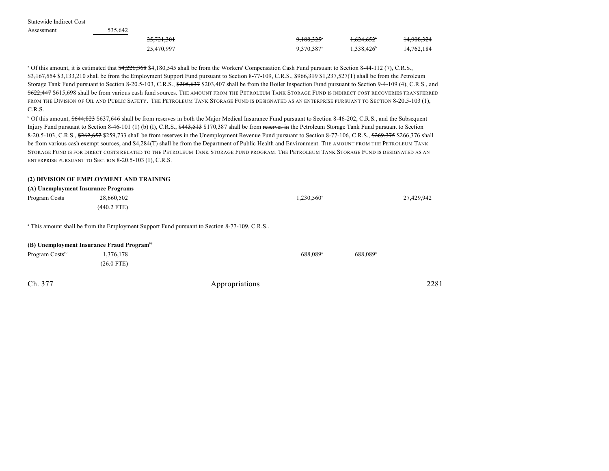Statewide Indirect Cost

| Assessment | 535.642    |                          |                        |            |
|------------|------------|--------------------------|------------------------|------------|
|            | 25,721,301 | $9.188.325$ <sup>*</sup> | <del>1.624.652</del>   | 14,908,324 |
|            | 25,470,997 | $9,370,387$ <sup>a</sup> | 1.338,426 <sup>b</sup> | 14,762,184 |

<sup>a</sup> Of this amount, it is estimated that \$4,226,368 \$4,180,545 shall be from the Workers' Compensation Cash Fund pursuant to Section 8-44-112 (7), C.R.S., \$3,167,554 \$3,133,210 shall be from the Employment Support Fund pursuant to Section 8-77-109, C.R.S., \$966,319 \$1,237,527(T) shall be from the Petroleum Storage Tank Fund pursuant to Section 8-20.5-103, C.R.S.,  $\frac{6205637}{203407}$  shall be from the Boiler Inspection Fund pursuant to Section 9-4-109 (4), C.R.S., and \$622,447 \$615,698 shall be from various cash fund sources. The AMOUNT FROM THE PETROLEUM TANK STORAGE FUND IS INDIRECT COST RECOVERIES TRANSFERRED FROM THE DIVISION OF OIL AND PUBLIC SAFETY. THE PETROLEUM TANK STORAGE FUND IS DESIGNATED AS AN ENTERPRISE PURSUANT TO SECTION 8-20.5-103 (1), C.R.S.

<sup>b</sup> Of this amount, \$644,823 \$637,646 shall be from reserves in both the Major Medical Insurance Fund pursuant to Section 8-46-202, C.R.S., and the Subsequent Injury Fund pursuant to Section 8-46-101 (1) (b) (I), C.R.S., \$443,513 \$170,387 shall be from reserves in the Petroleum Storage Tank Fund pursuant to Section 8-20.5-103, C.R.S., \$262,657 \$259,733 shall be from reserves in the Unemployment Revenue Fund pursuant to Section 8-77-106, C.R.S., \$269,375 \$266,376 shall be from various cash exempt sources, and \$4,284(T) shall be from the Department of Public Health and Environment. The AMOUNT FROM THE PETROLEUM TANK STORAGE FUND IS FOR DIRECT COSTS RELATED TO THE PETROLEUM TANK STORAGE FUND PROGRAM. THE PETROLEUM TANK STORAGE FUND IS DESIGNATED AS AN ENTERPRISE PURSUANT TO SECTION 8-20.5-103 (1), C.R.S.

### **(2) DIVISION OF EMPLOYMENT AND TRAINING**

#### **(A) Unemployment Insurance Programs**

| Program Costs | 28,660,502    | $1,230,560$ <sup>a</sup> | 27,429,942 |
|---------------|---------------|--------------------------|------------|
|               | $(440.2$ FTE) |                          |            |
|               |               |                          |            |

<sup>a</sup> This amount shall be from the Employment Support Fund pursuant to Section 8-77-109, C.R.S..

#### **(B) Unemployment Insurance Fraud Program<sup>96</sup>**

| Program Costs <sup>97</sup> | 1,376,178  |                | 688.089 <sup>a</sup> | 688.089 <sup>b</sup> |      |
|-----------------------------|------------|----------------|----------------------|----------------------|------|
|                             | (26.0 FTE) |                |                      |                      |      |
|                             |            |                |                      |                      |      |
| Ch. 377                     |            | Appropriations |                      |                      | 2281 |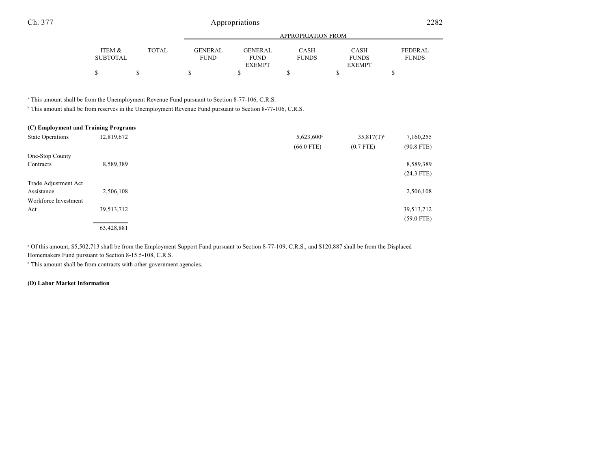|                 |              |                | APPROPRIATION FROM |              |               |              |  |  |  |
|-----------------|--------------|----------------|--------------------|--------------|---------------|--------------|--|--|--|
|                 |              |                |                    |              |               |              |  |  |  |
| ITEM &          | <b>TOTAL</b> | <b>GENERAL</b> | <b>GENERAL</b>     | <b>CASH</b>  | <b>CASH</b>   | FEDERAL      |  |  |  |
| <b>SUBTOTAL</b> |              | <b>FUND</b>    | <b>FUND</b>        | <b>FUNDS</b> | <b>FUNDS</b>  | <b>FUNDS</b> |  |  |  |
|                 |              |                | <b>EXEMPT</b>      |              | <b>EXEMPT</b> |              |  |  |  |
|                 |              |                |                    |              |               |              |  |  |  |

<sup>a</sup> This amount shall be from the Unemployment Revenue Fund pursuant to Section 8-77-106, C.R.S.

<sup>b</sup> This amount shall be from reserves in the Unemployment Revenue Fund pursuant to Section 8-77-106, C.R.S.

| (C) Employment and Training Programs |            |                        |                          |              |
|--------------------------------------|------------|------------------------|--------------------------|--------------|
| <b>State Operations</b>              | 12,819,672 | 5,623,600 <sup>a</sup> | $35,817(T)$ <sup>b</sup> | 7,160,255    |
|                                      |            | $(66.0$ FTE)           | $(0.7$ FTE)              | $(90.8$ FTE) |
| One-Stop County                      |            |                        |                          |              |
| Contracts                            | 8,589,389  |                        |                          | 8,589,389    |
|                                      |            |                        |                          | $(24.3$ FTE) |
| Trade Adjustment Act                 |            |                        |                          |              |
| Assistance                           | 2,506,108  |                        |                          | 2,506,108    |
| Workforce Investment                 |            |                        |                          |              |
| Act                                  | 39,513,712 |                        |                          | 39,513,712   |
|                                      |            |                        |                          | $(59.0$ FTE) |
|                                      | 63,428,881 |                        |                          |              |

<sup>a</sup> Of this amount, \$5,502,713 shall be from the Employment Support Fund pursuant to Section 8-77-109, C.R.S., and \$120,887 shall be from the Displaced Homemakers Fund pursuant to Section 8-15.5-108, C.R.S.

<sup>b</sup> This amount shall be from contracts with other government agencies.

### **(D) Labor Market Information**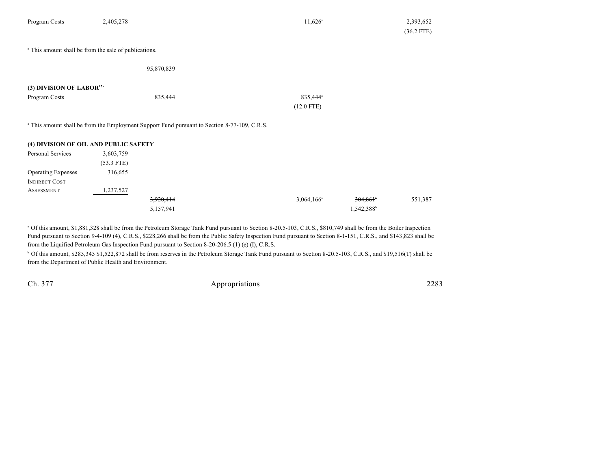| 2,405,278                                                        | $11,626$ <sup>a</sup> | 2,393,652                                                                                               |
|------------------------------------------------------------------|-----------------------|---------------------------------------------------------------------------------------------------------|
|                                                                  |                       | $(36.2$ FTE)                                                                                            |
| <sup>a</sup> This amount shall be from the sale of publications. |                       |                                                                                                         |
| 95,870,839                                                       |                       |                                                                                                         |
| (3) DIVISION OF LABOR <sup>97a</sup>                             |                       |                                                                                                         |
| 835,444                                                          | 835,444 <sup>a</sup>  |                                                                                                         |
|                                                                  | $(12.0$ FTE)          |                                                                                                         |
|                                                                  |                       |                                                                                                         |
|                                                                  |                       | <sup>a</sup> This amount shall be from the Employment Support Fund pursuant to Section 8-77-109, C.R.S. |

| (4) DIVISION OF OIL AND PUBLIC SAFETY |              |           |                     |                        |         |
|---------------------------------------|--------------|-----------|---------------------|------------------------|---------|
| Personal Services                     | 3,603,759    |           |                     |                        |         |
|                                       | $(53.3$ FTE) |           |                     |                        |         |
| <b>Operating Expenses</b>             | 316,655      |           |                     |                        |         |
| <b>INDIRECT COST</b>                  |              |           |                     |                        |         |
| <b>ASSESSMENT</b>                     | 1,237,527    |           |                     |                        |         |
|                                       |              | 3,920,414 | $3,064,166^{\circ}$ | 304,861                | 551,387 |
|                                       |              | 5,157,941 |                     | 1,542,388 <sup>b</sup> |         |

 Of this amount, \$1,881,328 shall be from the Petroleum Storage Tank Fund pursuant to Section 8-20.5-103, C.R.S., \$810,749 shall be from the Boiler Inspection <sup>a</sup> Fund pursuant to Section 9-4-109 (4), C.R.S., \$228,266 shall be from the Public Safety Inspection Fund pursuant to Section 8-1-151, C.R.S., and \$143,823 shall be from the Liquified Petroleum Gas Inspection Fund pursuant to Section 8-20-206.5 (1) (e) (I), C.R.S.

<sup>b</sup> Of this amount, \$285,345 \$1,522,872 shall be from reserves in the Petroleum Storage Tank Fund pursuant to Section 8-20.5-103, C.R.S., and \$19,516(T) shall be from the Department of Public Health and Environment.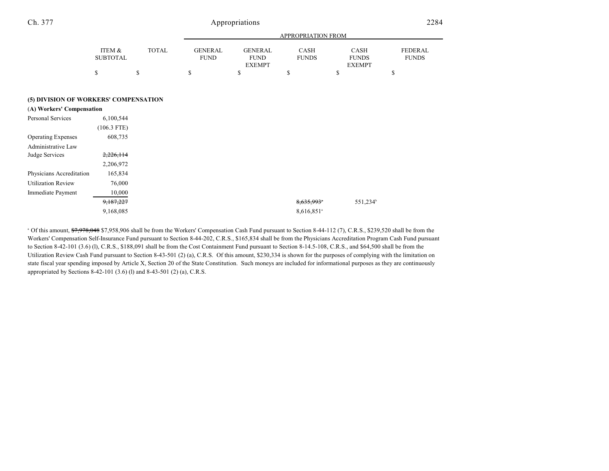| Ch. 377 |        | Appropriations |          |          |                    |                       |                 |  |
|---------|--------|----------------|----------|----------|--------------------|-----------------------|-----------------|--|
|         |        |                |          |          | APPROPRIATION FROM |                       |                 |  |
|         | ITEM & | <b>TOTAL</b>   | CENED AT | CENED AT | $C$ A CLI          | $\alpha$ and $\alpha$ | <b>EEDED AT</b> |  |

|                 |              |                | APPROPRIATION FROM |              |               |                |  |  |  |
|-----------------|--------------|----------------|--------------------|--------------|---------------|----------------|--|--|--|
|                 |              |                | <b>GENERAL</b>     |              |               |                |  |  |  |
| ITEM &          | <b>TOTAL</b> | <b>GENERAL</b> |                    | <b>CASH</b>  | CASH          | <b>FEDERAL</b> |  |  |  |
| <b>SUBTOTAL</b> |              | <b>FUND</b>    | <b>FUND</b>        | <b>FUNDS</b> | <b>FUNDS</b>  | <b>FUNDS</b>   |  |  |  |
|                 |              |                | <b>EXEMPT</b>      |              | <b>EXEMPT</b> |                |  |  |  |
|                 |              |                |                    |              |               |                |  |  |  |

### **(5) DIVISION OF WORKERS' COMPENSATION**

| (A) Workers' Compensation |               |
|---------------------------|---------------|
| <b>Personal Services</b>  | 6,100,544     |
|                           | $(106.3$ FTE) |
| <b>Operating Expenses</b> | 608,735       |
| Administrative Law        |               |
| Judge Services            | 2,226,114     |
|                           | 2,206,972     |
| Physicians Accreditation  | 165,834       |
| <b>Utilization Review</b> | 76,000        |
| Immediate Payment         | 10,000        |
|                           | 9,187,227     |
|                           | 9,168,085     |

<sup>a</sup> Of this amount, \$7,978,048 \$7,958,906 shall be from the Workers' Compensation Cash Fund pursuant to Section 8-44-112 (7), C.R.S., \$239,520 shall be from the Workers' Compensation Self-Insurance Fund pursuant to Section 8-44-202, C.R.S., \$165,834 shall be from the Physicians Accreditation Program Cash Fund pursuant to Section 8-42-101 (3.6) (l), C.R.S., \$188,091 shall be from the Cost Containment Fund pursuant to Section 8-14.5-108, C.R.S., and \$64,500 shall be from the Utilization Review Cash Fund pursuant to Section 8-43-501 (2) (a), C.R.S. Of this amount, \$230,334 is shown for the purposes of complying with the limitation on state fiscal year spending imposed by Article X, Section 20 of the State Constitution. Such moneys are included for informational purposes as they are continuously appropriated by Sections 8-42-101 (3.6) (l) and 8-43-501 (2) (a), C.R.S.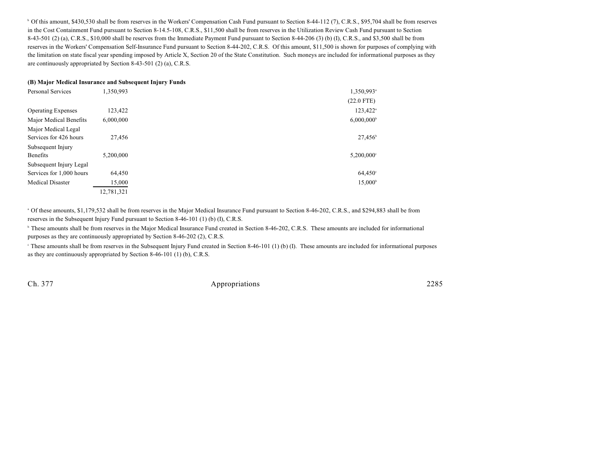<sup>b</sup> Of this amount, \$430,530 shall be from reserves in the Workers' Compensation Cash Fund pursuant to Section 8-44-112 (7), C.R.S., \$95,704 shall be from reserves in the Cost Containment Fund pursuant to Section 8-14.5-108, C.R.S., \$11,500 shall be from reserves in the Utilization Review Cash Fund pursuant to Section 8-43-501 (2) (a), C.R.S., \$10,000 shall be reserves from the Immediate Payment Fund pursuant to Section 8-44-206 (3) (b) (I), C.R.S., and \$3,500 shall be from reserves in the Workers' Compensation Self-Insurance Fund pursuant to Section 8-44-202, C.R.S. Of this amount, \$11,500 is shown for purposes of complying with the limitation on state fiscal year spending imposed by Article X, Section 20 of the State Constitution. Such moneys are included for informational purposes as they are continuously appropriated by Section 8-43-501 (2) (a), C.R.S.

### **(B) Major Medical Insurance and Subsequent Injury Funds**

| <b>Personal Services</b>  | 1,350,993  | 1,350,993 <sup>a</sup>   |
|---------------------------|------------|--------------------------|
|                           |            | $(22.0$ FTE)             |
| <b>Operating Expenses</b> | 123,422    | 123,422 <sup>a</sup>     |
| Major Medical Benefits    | 6,000,000  | $6,000,000^{\circ}$      |
| Major Medical Legal       |            |                          |
| Services for 426 hours    | 27,456     | $27,456^{\circ}$         |
| Subsequent Injury         |            |                          |
| <b>Benefits</b>           | 5,200,000  | $5,200,000$ <sup>c</sup> |
| Subsequent Injury Legal   |            |                          |
| Services for 1,000 hours  | 64,450     | 64,450°                  |
| <b>Medical Disaster</b>   | 15,000     | $15,000^{\circ}$         |
|                           | 12.781.321 |                          |

 $^{\circ}$  Of these amounts, \$1,179,532 shall be from reserves in the Major Medical Insurance Fund pursuant to Section 8-46-202, C.R.S., and \$294,883 shall be from reserves in the Subsequent Injury Fund pursuant to Section 8-46-101 (1) (b) (I), C.R.S.

<sup>b</sup> These amounts shall be from reserves in the Major Medical Insurance Fund created in Section 8-46-202, C.R.S. These amounts are included for informational purposes as they are continuously appropriated by Section 8-46-202 (2), C.R.S.

 $\degree$  These amounts shall be from reserves in the Subsequent Injury Fund created in Section 8-46-101 (1) (b) (I). These amounts are included for informational purposes as they are continuously appropriated by Section 8-46-101 (1) (b), C.R.S.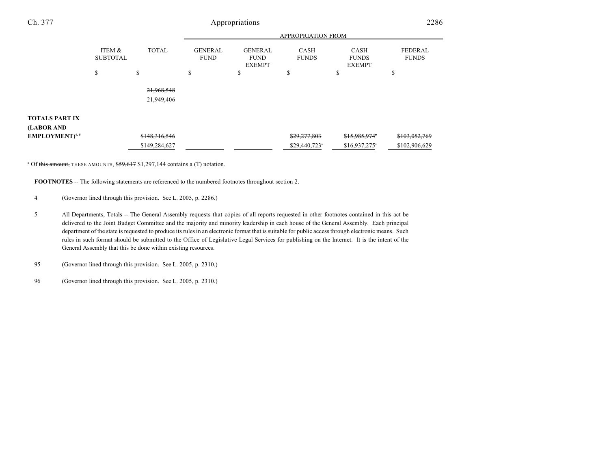| Ch. 377                           | Appropriations            |               |                               |                                                |                             |                                              | 2286                           |  |
|-----------------------------------|---------------------------|---------------|-------------------------------|------------------------------------------------|-----------------------------|----------------------------------------------|--------------------------------|--|
|                                   |                           |               | APPROPRIATION FROM            |                                                |                             |                                              |                                |  |
|                                   | ITEM &<br><b>SUBTOTAL</b> | <b>TOTAL</b>  | <b>GENERAL</b><br><b>FUND</b> | <b>GENERAL</b><br><b>FUND</b><br><b>EXEMPT</b> | <b>CASH</b><br><b>FUNDS</b> | <b>CASH</b><br><b>FUNDS</b><br><b>EXEMPT</b> | <b>FEDERAL</b><br><b>FUNDS</b> |  |
|                                   | \$                        | \$            | ъ                             | ъ                                              | S                           | У                                            | \$                             |  |
|                                   |                           | 21,968,548    |                               |                                                |                             |                                              |                                |  |
|                                   |                           | 21,949,406    |                               |                                                |                             |                                              |                                |  |
| TOTALS PART IX                    |                           |               |                               |                                                |                             |                                              |                                |  |
| (LABOR AND                        |                           |               |                               |                                                |                             |                                              |                                |  |
| <b>EMPLOYMENT</b> <sup>4, 5</sup> |                           | \$148,316,546 |                               |                                                | \$29,277,803                | \$15,985,974                                 | \$103,052,769                  |  |
|                                   |                           | \$149,284,627 |                               |                                                | \$29,440,723 <sup>a</sup>   | $$16,937,275$ <sup>a</sup>                   | \$102,906,629                  |  |

 $^{\circ}$  Of this amount, THESE AMOUNTS,  $$59,617$  \$1,297,144 contains a (T) notation.

**FOOTNOTES** -- The following statements are referenced to the numbered footnotes throughout section 2.

- 4 (Governor lined through this provision. See L. 2005, p. 2286.)
- 5 All Departments, Totals -- The General Assembly requests that copies of all reports requested in other footnotes contained in this act be delivered to the Joint Budget Committee and the majority and minority leadership in each house of the General Assembly. Each principal department of the state is requested to produce its rules in an electronic format that is suitable for public access through electronic means. Such rules in such format should be submitted to the Office of Legislative Legal Services for publishing on the Internet. It is the intent of the General Assembly that this be done within existing resources.

95 (Governor lined through this provision. See L. 2005, p. 2310.)

96 (Governor lined through this provision. See L. 2005, p. 2310.)